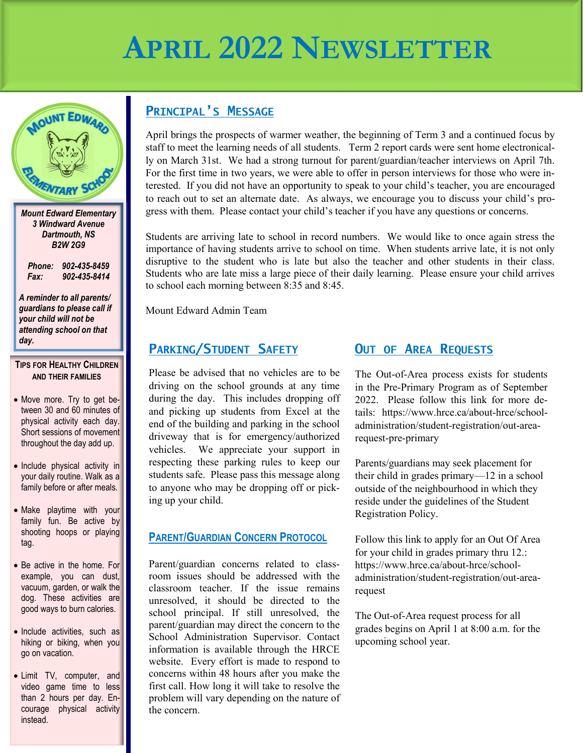# **APRIL 2022 NEWSLETTER**



*Dartmouth, NS B2W 2G9*

*Phone: 902-435-8459 Fax: 902-435-8414*

*A reminder to all parents/ guardians to please call if your child will not be attending school on that day.*

**TIPS FOR HEALTHY CHILDREN AND THEIR FAMILIES**

- Move more. Try to get between 30 and 60 minutes of physical activity each day. Short sessions of movement throughout the day add up.
- Include physical activity in your daily routine. Walk as a family before or after meals.
- Make playtime with your family fun. Be active by shooting hoops or playing tag.
- Be active in the home. For example, you can dust, vacuum, garden, or walk the dog. These activities are good ways to burn calories.
- Include activities, such as hiking or biking, when you go on vacation.
- Limit TV, computer, and video game time to less than 2 hours per day. Encourage physical activity instead.

### **PRINCIPAL'S MESSAGE**

April brings the prospects of warmer weather, the beginning of Term 3 and a continued focus by staff to meet the learning needs of all students. Term 2 report cards were sent home electronically on March 31st. We had a strong turnout for parent/guardian/teacher interviews on April 7th. For the first time in two years, we were able to offer in person interviews for those who were interested. If you did not have an opportunity to speak to your child's teacher, you are encouraged to reach out to set an alternate date. As always, we encourage you to discuss your child's progress with them. Please contact your child's teacher if you have any questions or concerns.

Students are arriving late to school in record numbers. We would like to once again stress the importance of having students arrive to school on time. When students arrive late, it is not only disruptive to the student who is late but also the teacher and other students in their class. Students who are late miss a large piece of their daily learning. Please ensure your child arrives to school each morning between 8:35 and 8:45.

Mount Edward Admin Team

### **PARKING/STUDENT SAFETY**

Please be advised that no vehicles are to be driving on the school grounds at any time during the day. This includes dropping off and picking up students from Excel at the end of the building and parking in the school driveway that is for emergency/authorized vehicles. We appreciate your support in respecting these parking rules to keep our students safe. Please pass this message along to anyone who may be dropping off or picking up your child.

### **PARENT/GUARDIAN CONCERN PROTOCOL**

Parent/guardian concerns related to classroom issues should be addressed with the classroom teacher. If the issue remains unresolved, it should be directed to the school principal. If still unresolved, the parent/guardian may direct the concern to the School Administration Supervisor. Contact information is available through the HRCE website. Every effort is made to respond to concerns within 48 hours after you make the first call. How long it will take to resolve the problem will vary depending on the nature of the concern.

### **OUT OF AREA REQUESTS**

The Out-of-Area process exists for students in the Pre-Primary Program as of September 2022. Please follow this link for more details: https://www.hrce.ca/about-hrce/schooladministration/student-registration/out-arearequest-pre-primary

Parents/guardians may seek placement for their child in grades primary—12 in a school outside of the neighbourhood in which they reside under the guidelines of the [Student](https://www.hrce.ca/sites/default/files/hrsb/b.028-student-registration.pdf)  [Registration Policy.](https://www.hrce.ca/sites/default/files/hrsb/b.028-student-registration.pdf)

Follow this link to apply for an Out Of Area for your child in grades primary thru 12.: https://www.hrce.ca/about-hrce/schooladministration/student-registration/out-arearequest

The Out-of-Area request process for all grades begins on April 1 at 8:00 a.m. for the upcoming school year.